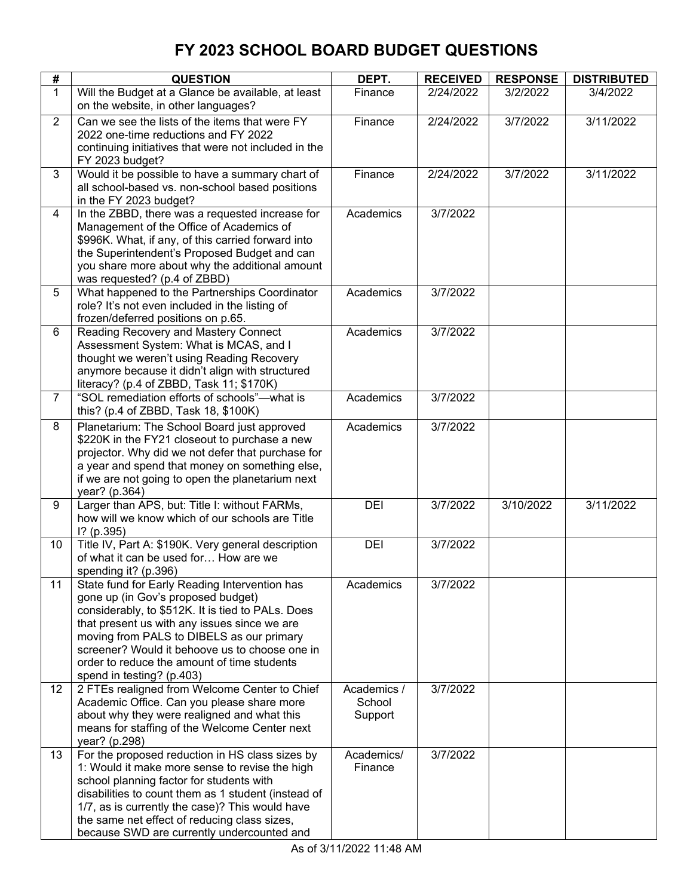| #              | <b>QUESTION</b>                                                                         | DEPT.       | <b>RECEIVED</b> | <b>RESPONSE</b> | <b>DISTRIBUTED</b> |
|----------------|-----------------------------------------------------------------------------------------|-------------|-----------------|-----------------|--------------------|
| 1              | Will the Budget at a Glance be available, at least                                      | Finance     | 2/24/2022       | 3/2/2022        | 3/4/2022           |
|                | on the website, in other languages?                                                     |             |                 |                 |                    |
| $\overline{2}$ | Can we see the lists of the items that were FY                                          | Finance     | 2/24/2022       | 3/7/2022        | 3/11/2022          |
|                | 2022 one-time reductions and FY 2022                                                    |             |                 |                 |                    |
|                | continuing initiatives that were not included in the<br>FY 2023 budget?                 |             |                 |                 |                    |
| 3              | Would it be possible to have a summary chart of                                         | Finance     | 2/24/2022       | 3/7/2022        | 3/11/2022          |
|                | all school-based vs. non-school based positions                                         |             |                 |                 |                    |
|                | in the FY 2023 budget?                                                                  |             |                 |                 |                    |
| 4              | In the ZBBD, there was a requested increase for                                         | Academics   | 3/7/2022        |                 |                    |
|                | Management of the Office of Academics of                                                |             |                 |                 |                    |
|                | \$996K. What, if any, of this carried forward into                                      |             |                 |                 |                    |
|                | the Superintendent's Proposed Budget and can                                            |             |                 |                 |                    |
|                | you share more about why the additional amount                                          |             |                 |                 |                    |
|                | was requested? (p.4 of ZBBD)                                                            |             |                 |                 |                    |
| 5              | What happened to the Partnerships Coordinator                                           | Academics   | 3/7/2022        |                 |                    |
|                | role? It's not even included in the listing of                                          |             |                 |                 |                    |
| 6              | frozen/deferred positions on p.65.<br>Reading Recovery and Mastery Connect              | Academics   | 3/7/2022        |                 |                    |
|                | Assessment System: What is MCAS, and I                                                  |             |                 |                 |                    |
|                | thought we weren't using Reading Recovery                                               |             |                 |                 |                    |
|                | anymore because it didn't align with structured                                         |             |                 |                 |                    |
|                | literacy? (p.4 of ZBBD, Task 11; \$170K)                                                |             |                 |                 |                    |
| $\overline{7}$ | "SOL remediation efforts of schools"-- what is                                          | Academics   | 3/7/2022        |                 |                    |
|                | this? (p.4 of ZBBD, Task 18, \$100K)                                                    |             |                 |                 |                    |
| 8              | Planetarium: The School Board just approved                                             | Academics   | 3/7/2022        |                 |                    |
|                | \$220K in the FY21 closeout to purchase a new                                           |             |                 |                 |                    |
|                | projector. Why did we not defer that purchase for                                       |             |                 |                 |                    |
|                | a year and spend that money on something else,                                          |             |                 |                 |                    |
|                | if we are not going to open the planetarium next                                        |             |                 |                 |                    |
|                | year? (p.364)                                                                           |             |                 |                 |                    |
| 9              | Larger than APS, but: Title I: without FARMs,                                           | DEI         | 3/7/2022        | 3/10/2022       | 3/11/2022          |
|                | how will we know which of our schools are Title                                         |             |                 |                 |                    |
|                | $1?$ (p.395)                                                                            |             |                 |                 |                    |
| 10             | Title IV, Part A: \$190K. Very general description                                      | DEI         | 3/7/2022        |                 |                    |
|                | of what it can be used for How are we                                                   |             |                 |                 |                    |
|                | spending it? (p.396)                                                                    |             |                 |                 |                    |
| 11             | State fund for Early Reading Intervention has                                           | Academics   | 3/7/2022        |                 |                    |
|                | gone up (in Gov's proposed budget)<br>considerably, to \$512K. It is tied to PALs. Does |             |                 |                 |                    |
|                | that present us with any issues since we are                                            |             |                 |                 |                    |
|                | moving from PALS to DIBELS as our primary                                               |             |                 |                 |                    |
|                | screener? Would it behoove us to choose one in                                          |             |                 |                 |                    |
|                | order to reduce the amount of time students                                             |             |                 |                 |                    |
|                | spend in testing? (p.403)                                                               |             |                 |                 |                    |
| 12             | 2 FTEs realigned from Welcome Center to Chief                                           | Academics / | 3/7/2022        |                 |                    |
|                | Academic Office. Can you please share more                                              | School      |                 |                 |                    |
|                | about why they were realigned and what this                                             | Support     |                 |                 |                    |
|                | means for staffing of the Welcome Center next                                           |             |                 |                 |                    |
|                | year? (p.298)                                                                           |             |                 |                 |                    |
| 13             | For the proposed reduction in HS class sizes by                                         | Academics/  | 3/7/2022        |                 |                    |
|                | 1: Would it make more sense to revise the high                                          | Finance     |                 |                 |                    |
|                | school planning factor for students with                                                |             |                 |                 |                    |
|                | disabilities to count them as 1 student (instead of                                     |             |                 |                 |                    |
|                | 1/7, as is currently the case)? This would have                                         |             |                 |                 |                    |
|                | the same net effect of reducing class sizes,                                            |             |                 |                 |                    |
|                | because SWD are currently undercounted and                                              |             |                 |                 |                    |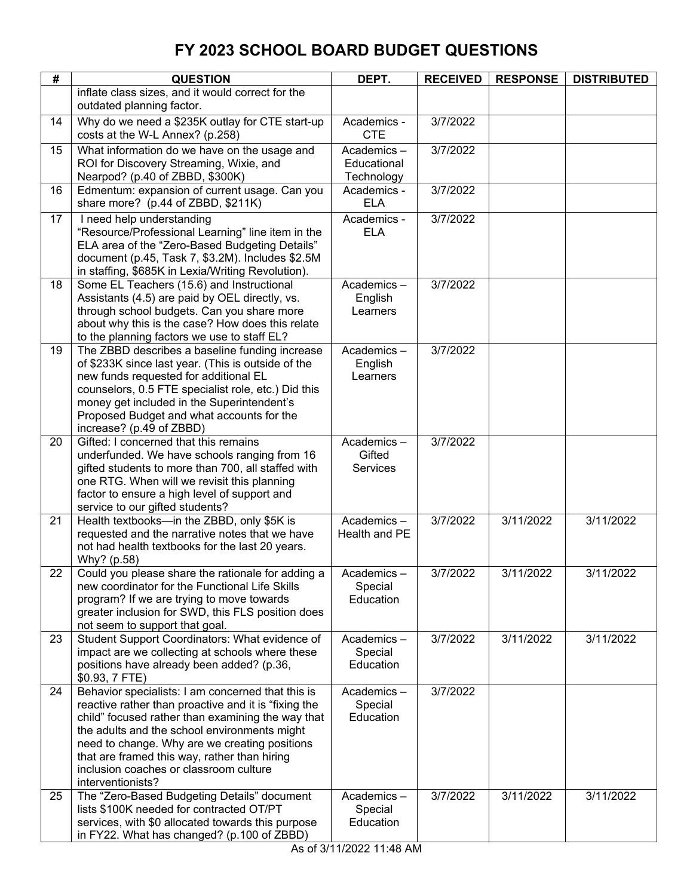| #  | <b>QUESTION</b>                                                                                           | DEPT.                       | <b>RECEIVED</b> | <b>RESPONSE</b> | <b>DISTRIBUTED</b> |
|----|-----------------------------------------------------------------------------------------------------------|-----------------------------|-----------------|-----------------|--------------------|
|    | inflate class sizes, and it would correct for the                                                         |                             |                 |                 |                    |
|    | outdated planning factor.                                                                                 |                             |                 |                 |                    |
| 14 | Why do we need a \$235K outlay for CTE start-up<br>costs at the W-L Annex? (p.258)                        | Academics -<br><b>CTE</b>   | 3/7/2022        |                 |                    |
| 15 | What information do we have on the usage and                                                              | Academics-                  | 3/7/2022        |                 |                    |
|    | ROI for Discovery Streaming, Wixie, and                                                                   | Educational                 |                 |                 |                    |
| 16 | Nearpod? (p.40 of ZBBD, \$300K)<br>Edmentum: expansion of current usage. Can you                          | Technology<br>Academics -   | 3/7/2022        |                 |                    |
|    | share more? (p.44 of ZBBD, \$211K)                                                                        | <b>ELA</b>                  |                 |                 |                    |
| 17 | I need help understanding                                                                                 | Academics -                 | 3/7/2022        |                 |                    |
|    | "Resource/Professional Learning" line item in the                                                         | <b>ELA</b>                  |                 |                 |                    |
|    | ELA area of the "Zero-Based Budgeting Details"                                                            |                             |                 |                 |                    |
|    | document (p.45, Task 7, \$3.2M). Includes \$2.5M<br>in staffing, \$685K in Lexia/Writing Revolution).     |                             |                 |                 |                    |
| 18 | Some EL Teachers (15.6) and Instructional                                                                 | Academics-                  | 3/7/2022        |                 |                    |
|    | Assistants (4.5) are paid by OEL directly, vs.                                                            | English                     |                 |                 |                    |
|    | through school budgets. Can you share more                                                                | Learners                    |                 |                 |                    |
|    | about why this is the case? How does this relate                                                          |                             |                 |                 |                    |
|    | to the planning factors we use to staff EL?                                                               |                             |                 |                 |                    |
| 19 | The ZBBD describes a baseline funding increase<br>of \$233K since last year. (This is outside of the      | Academics-<br>English       | 3/7/2022        |                 |                    |
|    | new funds requested for additional EL                                                                     | Learners                    |                 |                 |                    |
|    | counselors, 0.5 FTE specialist role, etc.) Did this                                                       |                             |                 |                 |                    |
|    | money get included in the Superintendent's                                                                |                             |                 |                 |                    |
|    | Proposed Budget and what accounts for the                                                                 |                             |                 |                 |                    |
|    | increase? (p.49 of ZBBD)                                                                                  |                             |                 |                 |                    |
| 20 | Gifted: I concerned that this remains                                                                     | Academics-<br>Gifted        | 3/7/2022        |                 |                    |
|    | underfunded. We have schools ranging from 16<br>gifted students to more than 700, all staffed with        | <b>Services</b>             |                 |                 |                    |
|    | one RTG. When will we revisit this planning                                                               |                             |                 |                 |                    |
|    | factor to ensure a high level of support and                                                              |                             |                 |                 |                    |
|    | service to our gifted students?                                                                           |                             |                 |                 |                    |
| 21 | Health textbooks-in the ZBBD, only \$5K is                                                                | Academics-<br>Health and PE | 3/7/2022        | 3/11/2022       | 3/11/2022          |
|    | requested and the narrative notes that we have<br>not had health textbooks for the last 20 years.         |                             |                 |                 |                    |
|    | Why? (p.58)                                                                                               |                             |                 |                 |                    |
| 22 | Could you please share the rationale for adding a                                                         | Academics –                 | 3/7/2022        | 3/11/2022       | 3/11/2022          |
|    | new coordinator for the Functional Life Skills                                                            | Special                     |                 |                 |                    |
|    | program? If we are trying to move towards                                                                 | Education                   |                 |                 |                    |
|    | greater inclusion for SWD, this FLS position does<br>not seem to support that goal.                       |                             |                 |                 |                    |
| 23 | Student Support Coordinators: What evidence of                                                            | Academics-                  | 3/7/2022        | 3/11/2022       | 3/11/2022          |
|    | impact are we collecting at schools where these                                                           | Special                     |                 |                 |                    |
|    | positions have already been added? (p.36,                                                                 | Education                   |                 |                 |                    |
|    | \$0.93, 7 FTE)                                                                                            |                             |                 |                 |                    |
| 24 | Behavior specialists: I am concerned that this is<br>reactive rather than proactive and it is "fixing the | Academics-<br>Special       | 3/7/2022        |                 |                    |
|    | child" focused rather than examining the way that                                                         | Education                   |                 |                 |                    |
|    | the adults and the school environments might                                                              |                             |                 |                 |                    |
|    | need to change. Why are we creating positions                                                             |                             |                 |                 |                    |
|    | that are framed this way, rather than hiring                                                              |                             |                 |                 |                    |
|    | inclusion coaches or classroom culture                                                                    |                             |                 |                 |                    |
| 25 | interventionists?<br>The "Zero-Based Budgeting Details" document                                          | Academics-                  | 3/7/2022        | 3/11/2022       | 3/11/2022          |
|    | lists \$100K needed for contracted OT/PT                                                                  | Special                     |                 |                 |                    |
|    | services, with \$0 allocated towards this purpose                                                         | Education                   |                 |                 |                    |
|    | in FY22. What has changed? (p.100 of ZBBD)                                                                |                             |                 |                 |                    |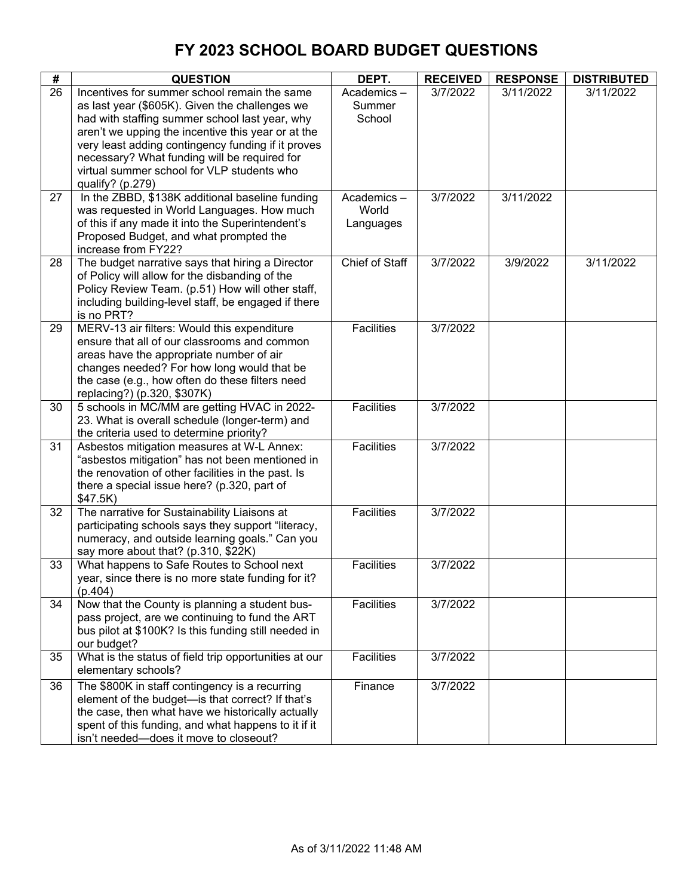| #               | <b>QUESTION</b>                                                                            | DEPT.                 | <b>RECEIVED</b> | <b>RESPONSE</b> | <b>DISTRIBUTED</b> |
|-----------------|--------------------------------------------------------------------------------------------|-----------------------|-----------------|-----------------|--------------------|
| $\overline{26}$ | Incentives for summer school remain the same                                               | Academics-            | 3/7/2022        | 3/11/2022       | 3/11/2022          |
|                 | as last year (\$605K). Given the challenges we                                             | Summer                |                 |                 |                    |
|                 | had with staffing summer school last year, why                                             | School                |                 |                 |                    |
|                 | aren't we upping the incentive this year or at the                                         |                       |                 |                 |                    |
|                 | very least adding contingency funding if it proves                                         |                       |                 |                 |                    |
|                 | necessary? What funding will be required for                                               |                       |                 |                 |                    |
|                 | virtual summer school for VLP students who                                                 |                       |                 |                 |                    |
|                 | qualify? (p.279)                                                                           |                       |                 |                 |                    |
| 27              | In the ZBBD, \$138K additional baseline funding                                            | Academics-            | 3/7/2022        | 3/11/2022       |                    |
|                 | was requested in World Languages. How much                                                 | World                 |                 |                 |                    |
|                 | of this if any made it into the Superintendent's                                           | Languages             |                 |                 |                    |
|                 | Proposed Budget, and what prompted the<br>increase from FY22?                              |                       |                 |                 |                    |
| 28              | The budget narrative says that hiring a Director                                           | <b>Chief of Staff</b> | 3/7/2022        | 3/9/2022        | 3/11/2022          |
|                 | of Policy will allow for the disbanding of the                                             |                       |                 |                 |                    |
|                 | Policy Review Team. (p.51) How will other staff,                                           |                       |                 |                 |                    |
|                 | including building-level staff, be engaged if there                                        |                       |                 |                 |                    |
|                 | is no PRT?                                                                                 |                       |                 |                 |                    |
| 29              | MERV-13 air filters: Would this expenditure                                                | <b>Facilities</b>     | 3/7/2022        |                 |                    |
|                 | ensure that all of our classrooms and common                                               |                       |                 |                 |                    |
|                 | areas have the appropriate number of air                                                   |                       |                 |                 |                    |
|                 | changes needed? For how long would that be                                                 |                       |                 |                 |                    |
|                 | the case (e.g., how often do these filters need                                            |                       |                 |                 |                    |
|                 | replacing?) (p.320, \$307K)                                                                |                       |                 |                 |                    |
| 30              | 5 schools in MC/MM are getting HVAC in 2022-                                               | <b>Facilities</b>     | 3/7/2022        |                 |                    |
|                 | 23. What is overall schedule (longer-term) and<br>the criteria used to determine priority? |                       |                 |                 |                    |
| 31              | Asbestos mitigation measures at W-L Annex:                                                 | <b>Facilities</b>     | 3/7/2022        |                 |                    |
|                 | "asbestos mitigation" has not been mentioned in                                            |                       |                 |                 |                    |
|                 | the renovation of other facilities in the past. Is                                         |                       |                 |                 |                    |
|                 | there a special issue here? (p.320, part of                                                |                       |                 |                 |                    |
|                 | \$47.5K)                                                                                   |                       |                 |                 |                    |
| 32              | The narrative for Sustainability Liaisons at                                               | <b>Facilities</b>     | 3/7/2022        |                 |                    |
|                 | participating schools says they support "literacy,                                         |                       |                 |                 |                    |
|                 | numeracy, and outside learning goals." Can you                                             |                       |                 |                 |                    |
|                 | say more about that? (p.310, \$22K)                                                        |                       |                 |                 |                    |
| 33              | What happens to Safe Routes to School next                                                 | <b>Facilities</b>     | 3/7/2022        |                 |                    |
|                 | year, since there is no more state funding for it?                                         |                       |                 |                 |                    |
| 34              | (p.404)<br>Now that the County is planning a student bus-                                  | <b>Facilities</b>     | 3/7/2022        |                 |                    |
|                 | pass project, are we continuing to fund the ART                                            |                       |                 |                 |                    |
|                 | bus pilot at \$100K? Is this funding still needed in                                       |                       |                 |                 |                    |
|                 | our budget?                                                                                |                       |                 |                 |                    |
| 35              | What is the status of field trip opportunities at our                                      | <b>Facilities</b>     | 3/7/2022        |                 |                    |
|                 | elementary schools?                                                                        |                       |                 |                 |                    |
| 36              | The \$800K in staff contingency is a recurring                                             | Finance               | 3/7/2022        |                 |                    |
|                 | element of the budget-is that correct? If that's                                           |                       |                 |                 |                    |
|                 | the case, then what have we historically actually                                          |                       |                 |                 |                    |
|                 | spent of this funding, and what happens to it if it                                        |                       |                 |                 |                    |
|                 | isn't needed-does it move to closeout?                                                     |                       |                 |                 |                    |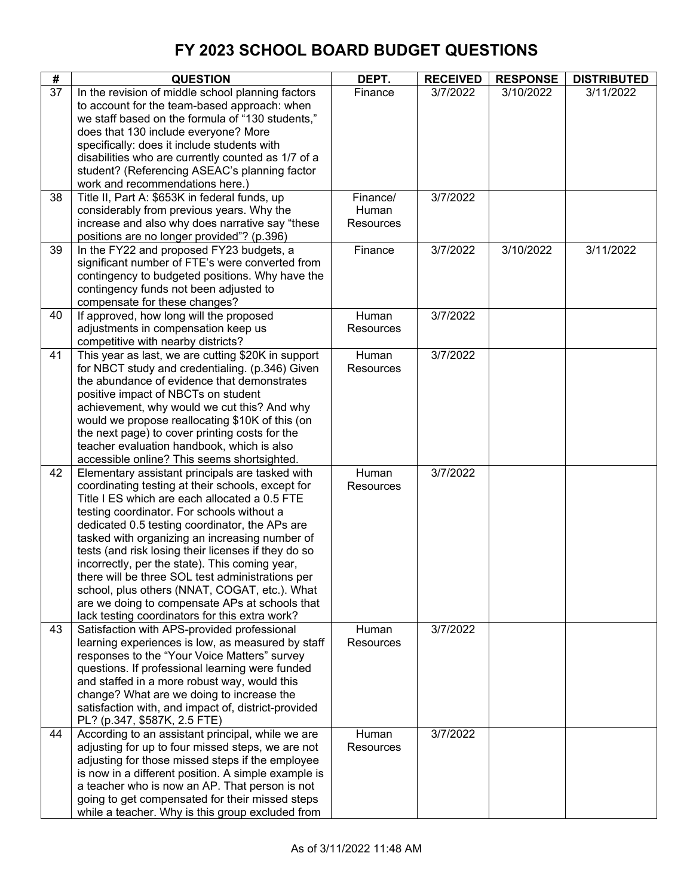| #  | <b>QUESTION</b>                                                                                                                                                                                                                                                                                                                                                                                                                                                                                                                                                                                                           | DEPT.                          | <b>RECEIVED</b> | <b>RESPONSE</b> | <b>DISTRIBUTED</b> |
|----|---------------------------------------------------------------------------------------------------------------------------------------------------------------------------------------------------------------------------------------------------------------------------------------------------------------------------------------------------------------------------------------------------------------------------------------------------------------------------------------------------------------------------------------------------------------------------------------------------------------------------|--------------------------------|-----------------|-----------------|--------------------|
| 37 | In the revision of middle school planning factors<br>to account for the team-based approach: when<br>we staff based on the formula of "130 students,"<br>does that 130 include everyone? More                                                                                                                                                                                                                                                                                                                                                                                                                             | Finance                        | 3/7/2022        | 3/10/2022       | 3/11/2022          |
|    | specifically: does it include students with<br>disabilities who are currently counted as 1/7 of a<br>student? (Referencing ASEAC's planning factor<br>work and recommendations here.)                                                                                                                                                                                                                                                                                                                                                                                                                                     |                                |                 |                 |                    |
| 38 | Title II, Part A: \$653K in federal funds, up<br>considerably from previous years. Why the<br>increase and also why does narrative say "these<br>positions are no longer provided"? (p.396)                                                                                                                                                                                                                                                                                                                                                                                                                               | Finance/<br>Human<br>Resources | 3/7/2022        |                 |                    |
| 39 | In the FY22 and proposed FY23 budgets, a<br>significant number of FTE's were converted from<br>contingency to budgeted positions. Why have the<br>contingency funds not been adjusted to<br>compensate for these changes?                                                                                                                                                                                                                                                                                                                                                                                                 | Finance                        | 3/7/2022        | 3/10/2022       | 3/11/2022          |
| 40 | If approved, how long will the proposed<br>adjustments in compensation keep us<br>competitive with nearby districts?                                                                                                                                                                                                                                                                                                                                                                                                                                                                                                      | Human<br>Resources             | 3/7/2022        |                 |                    |
| 41 | This year as last, we are cutting \$20K in support<br>for NBCT study and credentialing. (p.346) Given<br>the abundance of evidence that demonstrates<br>positive impact of NBCTs on student<br>achievement, why would we cut this? And why<br>would we propose reallocating \$10K of this (on<br>the next page) to cover printing costs for the<br>teacher evaluation handbook, which is also<br>accessible online? This seems shortsighted.                                                                                                                                                                              | Human<br>Resources             | 3/7/2022        |                 |                    |
| 42 | Elementary assistant principals are tasked with<br>coordinating testing at their schools, except for<br>Title I ES which are each allocated a 0.5 FTE<br>testing coordinator. For schools without a<br>dedicated 0.5 testing coordinator, the APs are<br>tasked with organizing an increasing number of<br>tests (and risk losing their licenses if they do so<br>incorrectly, per the state). This coming year,<br>there will be three SOL test administrations per<br>school, plus others (NNAT, COGAT, etc.). What<br>are we doing to compensate APs at schools that<br>lack testing coordinators for this extra work? | Human<br>Resources             | 3/7/2022        |                 |                    |
| 43 | Satisfaction with APS-provided professional<br>learning experiences is low, as measured by staff<br>responses to the "Your Voice Matters" survey<br>questions. If professional learning were funded<br>and staffed in a more robust way, would this<br>change? What are we doing to increase the<br>satisfaction with, and impact of, district-provided<br>PL? (p.347, \$587K, 2.5 FTE)                                                                                                                                                                                                                                   | Human<br>Resources             | 3/7/2022        |                 |                    |
| 44 | According to an assistant principal, while we are<br>adjusting for up to four missed steps, we are not<br>adjusting for those missed steps if the employee<br>is now in a different position. A simple example is<br>a teacher who is now an AP. That person is not<br>going to get compensated for their missed steps<br>while a teacher. Why is this group excluded from                                                                                                                                                                                                                                                | Human<br>Resources             | 3/7/2022        |                 |                    |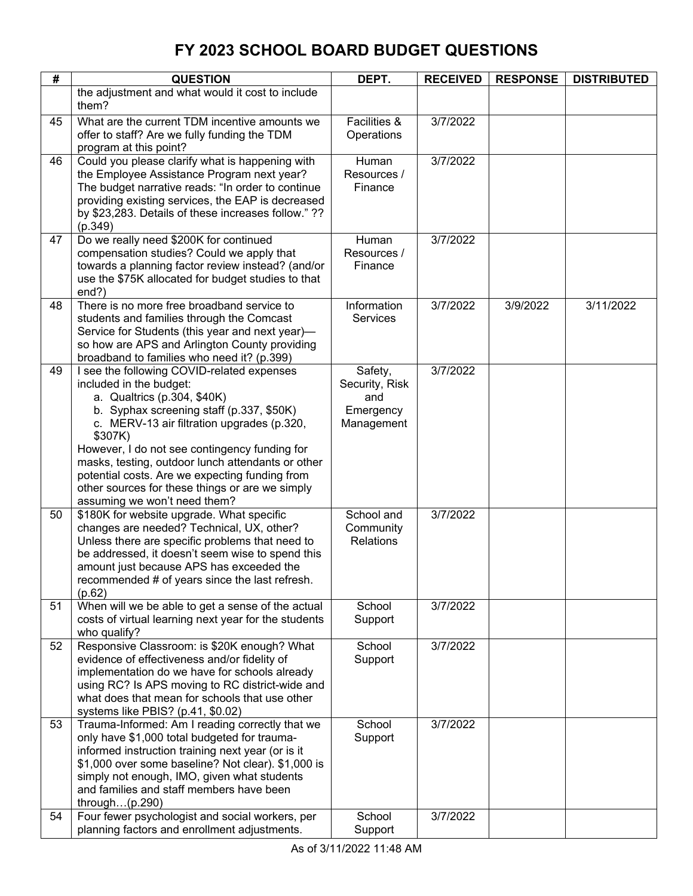| #  | <b>QUESTION</b>                                                                                           | DEPT.                   | <b>RECEIVED</b> | <b>RESPONSE</b> | <b>DISTRIBUTED</b> |
|----|-----------------------------------------------------------------------------------------------------------|-------------------------|-----------------|-----------------|--------------------|
|    | the adjustment and what would it cost to include                                                          |                         |                 |                 |                    |
|    | them?                                                                                                     |                         |                 |                 |                    |
| 45 | What are the current TDM incentive amounts we                                                             | Facilities &            | 3/7/2022        |                 |                    |
|    | offer to staff? Are we fully funding the TDM                                                              | Operations              |                 |                 |                    |
|    | program at this point?                                                                                    |                         |                 |                 |                    |
| 46 | Could you please clarify what is happening with<br>the Employee Assistance Program next year?             | Human<br>Resources /    | 3/7/2022        |                 |                    |
|    | The budget narrative reads: "In order to continue                                                         | Finance                 |                 |                 |                    |
|    | providing existing services, the EAP is decreased                                                         |                         |                 |                 |                    |
|    | by \$23,283. Details of these increases follow."??                                                        |                         |                 |                 |                    |
|    | (p.349)                                                                                                   |                         |                 |                 |                    |
| 47 | Do we really need \$200K for continued                                                                    | Human                   | 3/7/2022        |                 |                    |
|    | compensation studies? Could we apply that                                                                 | Resources /             |                 |                 |                    |
|    | towards a planning factor review instead? (and/or                                                         | Finance                 |                 |                 |                    |
|    | use the \$75K allocated for budget studies to that                                                        |                         |                 |                 |                    |
| 48 | end?)<br>There is no more free broadband service to                                                       | Information             | 3/7/2022        | 3/9/2022        | 3/11/2022          |
|    | students and families through the Comcast                                                                 | Services                |                 |                 |                    |
|    | Service for Students (this year and next year)-                                                           |                         |                 |                 |                    |
|    | so how are APS and Arlington County providing                                                             |                         |                 |                 |                    |
|    | broadband to families who need it? (p.399)                                                                |                         |                 |                 |                    |
| 49 | I see the following COVID-related expenses                                                                | Safety,                 | 3/7/2022        |                 |                    |
|    | included in the budget:                                                                                   | Security, Risk          |                 |                 |                    |
|    | a. Qualtrics (p.304, \$40K)<br>b. Syphax screening staff (p.337, \$50K)                                   | and                     |                 |                 |                    |
|    | c. MERV-13 air filtration upgrades (p.320,                                                                | Emergency<br>Management |                 |                 |                    |
|    | \$307K)                                                                                                   |                         |                 |                 |                    |
|    | However, I do not see contingency funding for                                                             |                         |                 |                 |                    |
|    | masks, testing, outdoor lunch attendants or other                                                         |                         |                 |                 |                    |
|    | potential costs. Are we expecting funding from                                                            |                         |                 |                 |                    |
|    | other sources for these things or are we simply                                                           |                         |                 |                 |                    |
| 50 | assuming we won't need them?                                                                              | School and              | 3/7/2022        |                 |                    |
|    | \$180K for website upgrade. What specific<br>changes are needed? Technical, UX, other?                    | Community               |                 |                 |                    |
|    | Unless there are specific problems that need to                                                           | <b>Relations</b>        |                 |                 |                    |
|    | be addressed, it doesn't seem wise to spend this                                                          |                         |                 |                 |                    |
|    | amount just because APS has exceeded the                                                                  |                         |                 |                 |                    |
|    | recommended # of years since the last refresh.                                                            |                         |                 |                 |                    |
|    | (p.62)                                                                                                    |                         |                 |                 |                    |
| 51 | When will we be able to get a sense of the actual<br>costs of virtual learning next year for the students | School<br>Support       | 3/7/2022        |                 |                    |
|    | who qualify?                                                                                              |                         |                 |                 |                    |
| 52 | Responsive Classroom: is \$20K enough? What                                                               | School                  | 3/7/2022        |                 |                    |
|    | evidence of effectiveness and/or fidelity of                                                              | Support                 |                 |                 |                    |
|    | implementation do we have for schools already                                                             |                         |                 |                 |                    |
|    | using RC? Is APS moving to RC district-wide and                                                           |                         |                 |                 |                    |
|    | what does that mean for schools that use other                                                            |                         |                 |                 |                    |
| 53 | systems like PBIS? (p.41, \$0.02)<br>Trauma-Informed: Am I reading correctly that we                      | School                  | 3/7/2022        |                 |                    |
|    | only have \$1,000 total budgeted for trauma-                                                              | Support                 |                 |                 |                    |
|    | informed instruction training next year (or is it                                                         |                         |                 |                 |                    |
|    | \$1,000 over some baseline? Not clear). \$1,000 is                                                        |                         |                 |                 |                    |
|    | simply not enough, IMO, given what students                                                               |                         |                 |                 |                    |
|    | and families and staff members have been                                                                  |                         |                 |                 |                    |
|    | through $(p.290)$                                                                                         |                         |                 |                 |                    |
| 54 | Four fewer psychologist and social workers, per<br>planning factors and enrollment adjustments.           | School<br>Support       | 3/7/2022        |                 |                    |
|    |                                                                                                           |                         |                 |                 |                    |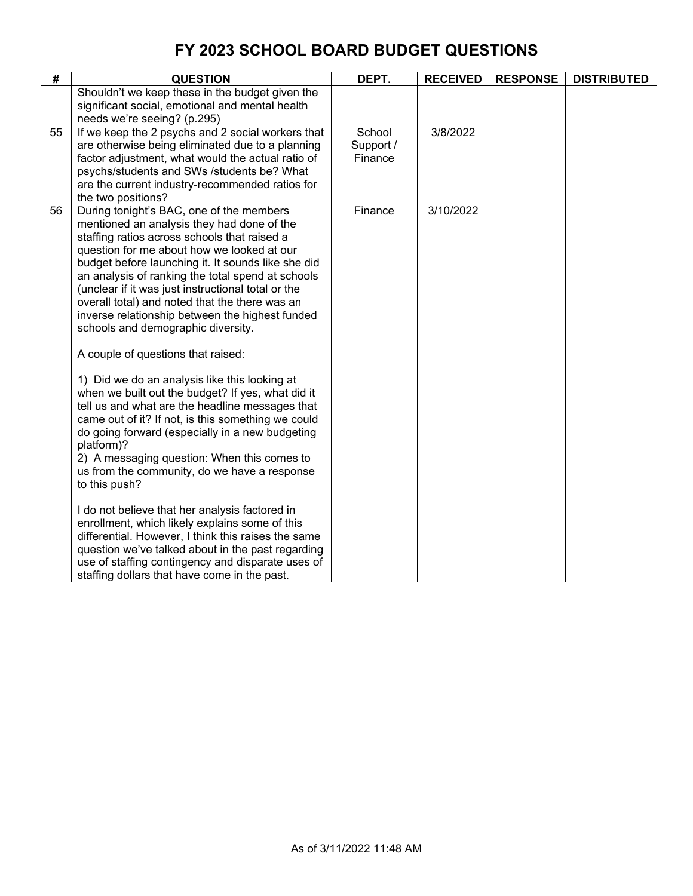| #  | <b>QUESTION</b>                                                                                                                                                                                                                                                                                                                                                                                                                                                                                                                                                                                                                                                                                                                                                                                                                                                                                                                                                                                                                                                                                                                                                                                                                                             | DEPT.                          | <b>RECEIVED</b> | <b>RESPONSE</b> | <b>DISTRIBUTED</b> |
|----|-------------------------------------------------------------------------------------------------------------------------------------------------------------------------------------------------------------------------------------------------------------------------------------------------------------------------------------------------------------------------------------------------------------------------------------------------------------------------------------------------------------------------------------------------------------------------------------------------------------------------------------------------------------------------------------------------------------------------------------------------------------------------------------------------------------------------------------------------------------------------------------------------------------------------------------------------------------------------------------------------------------------------------------------------------------------------------------------------------------------------------------------------------------------------------------------------------------------------------------------------------------|--------------------------------|-----------------|-----------------|--------------------|
|    | Shouldn't we keep these in the budget given the<br>significant social, emotional and mental health<br>needs we're seeing? (p.295)                                                                                                                                                                                                                                                                                                                                                                                                                                                                                                                                                                                                                                                                                                                                                                                                                                                                                                                                                                                                                                                                                                                           |                                |                 |                 |                    |
| 55 | If we keep the 2 psychs and 2 social workers that<br>are otherwise being eliminated due to a planning<br>factor adjustment, what would the actual ratio of<br>psychs/students and SWs /students be? What<br>are the current industry-recommended ratios for<br>the two positions?                                                                                                                                                                                                                                                                                                                                                                                                                                                                                                                                                                                                                                                                                                                                                                                                                                                                                                                                                                           | School<br>Support /<br>Finance | 3/8/2022        |                 |                    |
| 56 | During tonight's BAC, one of the members<br>mentioned an analysis they had done of the<br>staffing ratios across schools that raised a<br>question for me about how we looked at our<br>budget before launching it. It sounds like she did<br>an analysis of ranking the total spend at schools<br>(unclear if it was just instructional total or the<br>overall total) and noted that the there was an<br>inverse relationship between the highest funded<br>schools and demographic diversity.<br>A couple of questions that raised:<br>1) Did we do an analysis like this looking at<br>when we built out the budget? If yes, what did it<br>tell us and what are the headline messages that<br>came out of it? If not, is this something we could<br>do going forward (especially in a new budgeting<br>platform)?<br>2) A messaging question: When this comes to<br>us from the community, do we have a response<br>to this push?<br>I do not believe that her analysis factored in<br>enrollment, which likely explains some of this<br>differential. However, I think this raises the same<br>question we've talked about in the past regarding<br>use of staffing contingency and disparate uses of<br>staffing dollars that have come in the past. | Finance                        | 3/10/2022       |                 |                    |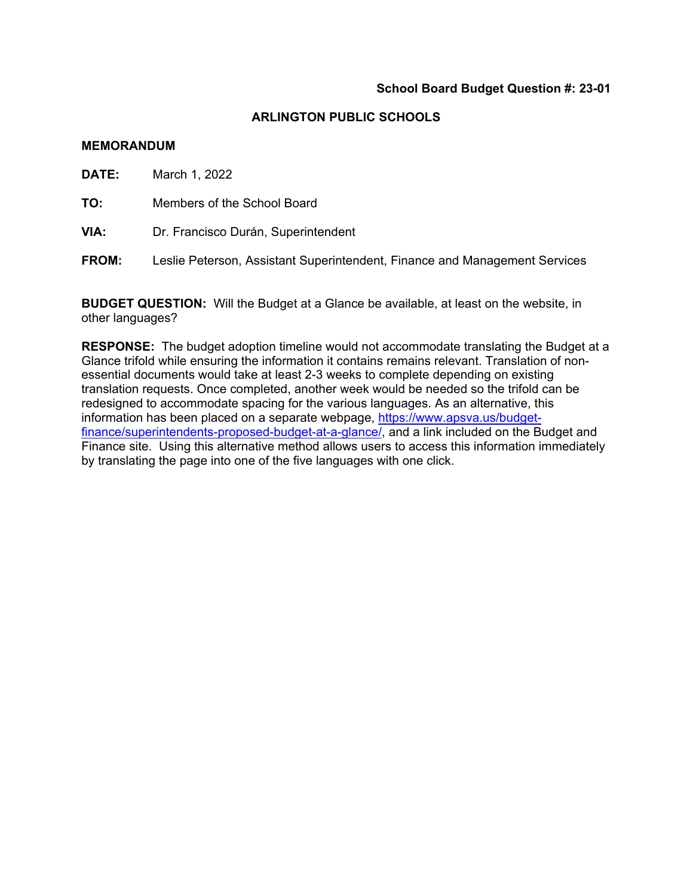#### **ARLINGTON PUBLIC SCHOOLS**

#### **MEMORANDUM**

**DATE:** March 1, 2022

**TO:** Members of the School Board

- **VIA:** Dr. Francisco Durán, Superintendent
- **FROM:** Leslie Peterson, Assistant Superintendent, Finance and Management Services

**BUDGET QUESTION:** Will the Budget at a Glance be available, at least on the website, in other languages?

**RESPONSE:** The budget adoption timeline would not accommodate translating the Budget at a Glance trifold while ensuring the information it contains remains relevant. Translation of nonessential documents would take at least 2-3 weeks to complete depending on existing translation requests. Once completed, another week would be needed so the trifold can be redesigned to accommodate spacing for the various languages. As an alternative, this information has been placed on a separate webpage, https://www.apsva.us/budgetfinance/superintendents-proposed-budget-at-a-glance/, and a link included on the Budget and Finance site. Using this alternative method allows users to access this information immediately by translating the page into one of the five languages with one click.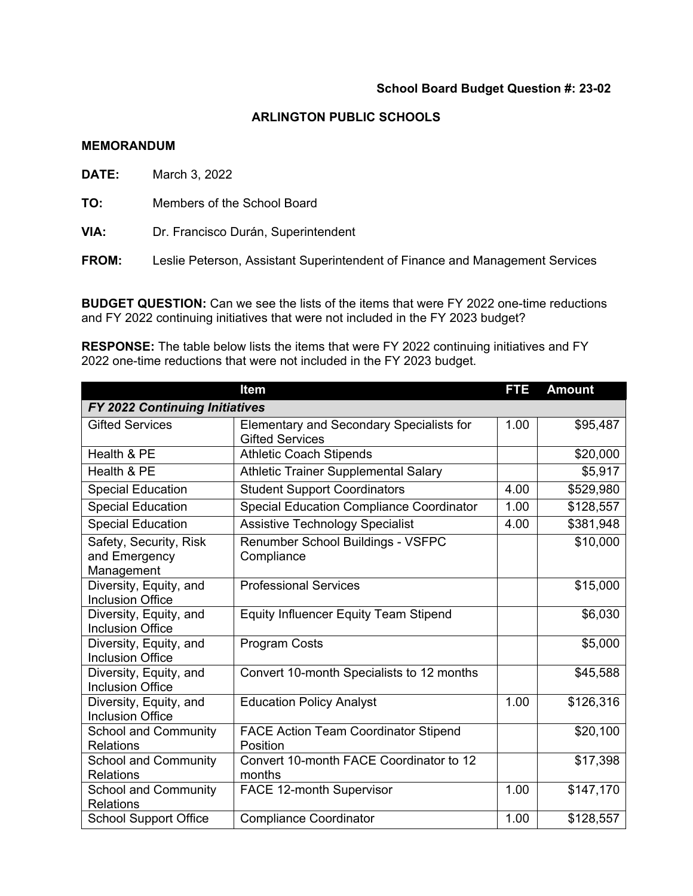#### **ARLINGTON PUBLIC SCHOOLS**

### **MEMORANDUM**

**DATE:** March 3, 2022

**TO:** Members of the School Board

**VIA:** Dr. Francisco Durán, Superintendent

**FROM:** Leslie Peterson, Assistant Superintendent of Finance and Management Services

**BUDGET QUESTION:** Can we see the lists of the items that were FY 2022 one-time reductions and FY 2022 continuing initiatives that were not included in the FY 2023 budget?

**RESPONSE:** The table below lists the items that were FY 2022 continuing initiatives and FY 2022 one-time reductions that were not included in the FY 2023 budget.

|                                                       | <b>Item</b>                                                        | FTE  | <b>Amount</b> |
|-------------------------------------------------------|--------------------------------------------------------------------|------|---------------|
| FY 2022 Continuing Initiatives                        |                                                                    |      |               |
| <b>Gifted Services</b>                                | Elementary and Secondary Specialists for<br><b>Gifted Services</b> | 1.00 | \$95,487      |
| Health & PE                                           | <b>Athletic Coach Stipends</b>                                     |      | \$20,000      |
| Health & PE                                           | <b>Athletic Trainer Supplemental Salary</b>                        |      | \$5,917       |
| <b>Special Education</b>                              | <b>Student Support Coordinators</b>                                | 4.00 | \$529,980     |
| <b>Special Education</b>                              | <b>Special Education Compliance Coordinator</b>                    | 1.00 | \$128,557     |
| <b>Special Education</b>                              | <b>Assistive Technology Specialist</b>                             | 4.00 | \$381,948     |
| Safety, Security, Risk<br>and Emergency<br>Management | Renumber School Buildings - VSFPC<br>Compliance                    |      | \$10,000      |
| Diversity, Equity, and<br><b>Inclusion Office</b>     | <b>Professional Services</b>                                       |      | \$15,000      |
| Diversity, Equity, and<br><b>Inclusion Office</b>     | <b>Equity Influencer Equity Team Stipend</b>                       |      | \$6,030       |
| Diversity, Equity, and<br><b>Inclusion Office</b>     | <b>Program Costs</b>                                               |      | \$5,000       |
| Diversity, Equity, and<br><b>Inclusion Office</b>     | Convert 10-month Specialists to 12 months                          |      | \$45,588      |
| Diversity, Equity, and<br><b>Inclusion Office</b>     | <b>Education Policy Analyst</b>                                    | 1.00 | \$126,316     |
| <b>School and Community</b><br><b>Relations</b>       | <b>FACE Action Team Coordinator Stipend</b><br>Position            |      | \$20,100      |
| <b>School and Community</b><br><b>Relations</b>       | Convert 10-month FACE Coordinator to 12<br>months                  |      | \$17,398      |
| <b>School and Community</b><br><b>Relations</b>       | <b>FACE 12-month Supervisor</b>                                    | 1.00 | \$147,170     |
| <b>School Support Office</b>                          | <b>Compliance Coordinator</b>                                      | 1.00 | \$128,557     |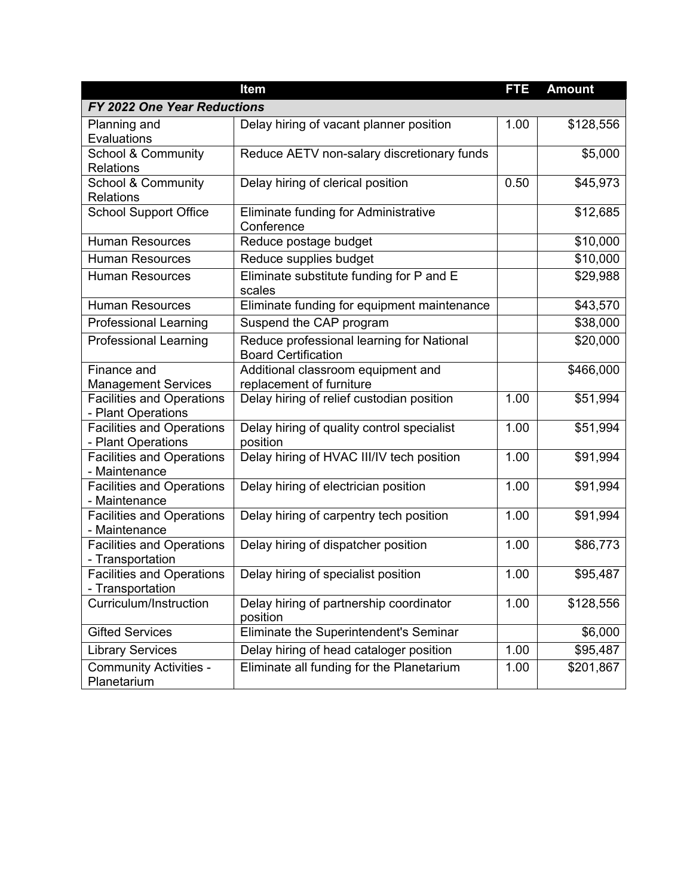|                                                        | <b>Item</b>                                                             | FTE  | <b>Amount</b> |
|--------------------------------------------------------|-------------------------------------------------------------------------|------|---------------|
| FY 2022 One Year Reductions                            |                                                                         |      |               |
| Planning and<br>Evaluations                            | Delay hiring of vacant planner position                                 | 1.00 | \$128,556     |
| <b>School &amp; Community</b><br>Relations             | Reduce AETV non-salary discretionary funds                              |      | \$5,000       |
| <b>School &amp; Community</b><br>Relations             | Delay hiring of clerical position                                       | 0.50 | \$45,973      |
| <b>School Support Office</b>                           | Eliminate funding for Administrative<br>Conference                      |      | \$12,685      |
| <b>Human Resources</b>                                 | Reduce postage budget                                                   |      | \$10,000      |
| <b>Human Resources</b>                                 | Reduce supplies budget                                                  |      | \$10,000      |
| <b>Human Resources</b>                                 | Eliminate substitute funding for P and E<br>scales                      |      | \$29,988      |
| <b>Human Resources</b>                                 | Eliminate funding for equipment maintenance                             |      | \$43,570      |
| <b>Professional Learning</b>                           | Suspend the CAP program                                                 |      | \$38,000      |
| <b>Professional Learning</b>                           | Reduce professional learning for National<br><b>Board Certification</b> |      | \$20,000      |
| Finance and<br><b>Management Services</b>              | Additional classroom equipment and<br>replacement of furniture          |      | \$466,000     |
| <b>Facilities and Operations</b><br>- Plant Operations | Delay hiring of relief custodian position                               | 1.00 | \$51,994      |
| <b>Facilities and Operations</b><br>- Plant Operations | Delay hiring of quality control specialist<br>position                  | 1.00 | \$51,994      |
| <b>Facilities and Operations</b><br>- Maintenance      | Delay hiring of HVAC III/IV tech position                               | 1.00 | \$91,994      |
| <b>Facilities and Operations</b><br>- Maintenance      | Delay hiring of electrician position                                    | 1.00 | \$91,994      |
| <b>Facilities and Operations</b><br>- Maintenance      | Delay hiring of carpentry tech position                                 | 1.00 | \$91,994      |
| <b>Facilities and Operations</b><br>- Transportation   | Delay hiring of dispatcher position                                     | 1.00 | \$86,773      |
| <b>Facilities and Operations</b><br>- Transportation   | Delay hiring of specialist position                                     | 1.00 | \$95,487      |
| Curriculum/Instruction                                 | Delay hiring of partnership coordinator<br>position                     | 1.00 | \$128,556     |
| <b>Gifted Services</b>                                 | Eliminate the Superintendent's Seminar                                  |      | \$6,000       |
| <b>Library Services</b>                                | Delay hiring of head cataloger position                                 | 1.00 | \$95,487      |
| <b>Community Activities -</b><br>Planetarium           | Eliminate all funding for the Planetarium                               | 1.00 | \$201,867     |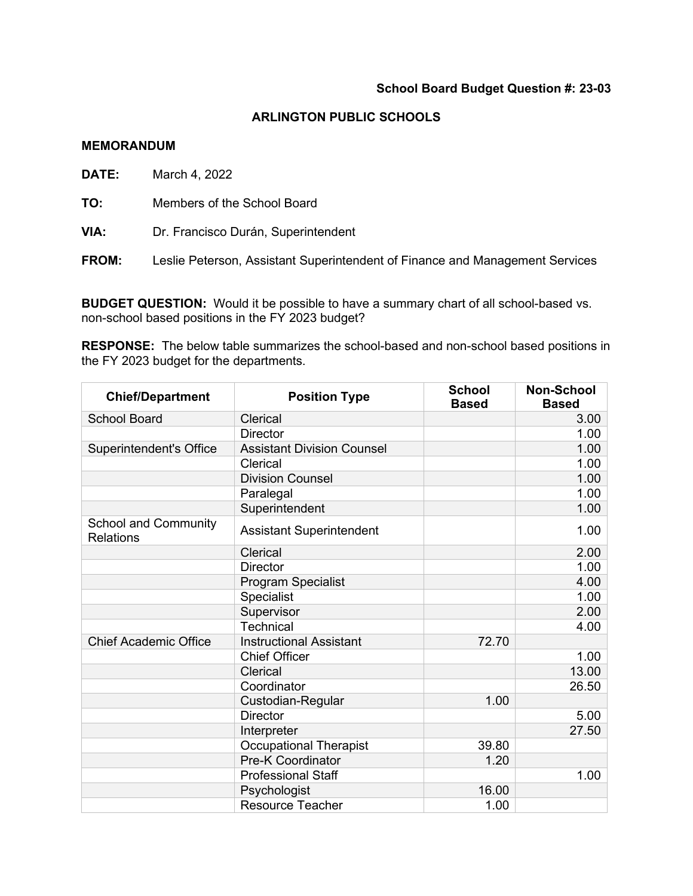## **ARLINGTON PUBLIC SCHOOLS**

#### **MEMORANDUM**

**DATE:** March 4, 2022

**TO:** Members of the School Board

**VIA:** Dr. Francisco Durán, Superintendent

**FROM:** Leslie Peterson, Assistant Superintendent of Finance and Management Services

**BUDGET QUESTION:** Would it be possible to have a summary chart of all school-based vs. non-school based positions in the FY 2023 budget?

**RESPONSE:** The below table summarizes the school-based and non-school based positions in the FY 2023 budget for the departments.

| <b>Chief/Department</b>                         | <b>Position Type</b>              | <b>School</b><br><b>Based</b> | <b>Non-School</b><br><b>Based</b> |
|-------------------------------------------------|-----------------------------------|-------------------------------|-----------------------------------|
| <b>School Board</b>                             | Clerical                          |                               | 3.00                              |
|                                                 | <b>Director</b>                   |                               | 1.00                              |
| <b>Superintendent's Office</b>                  | <b>Assistant Division Counsel</b> |                               | 1.00                              |
|                                                 | Clerical                          |                               | 1.00                              |
|                                                 | <b>Division Counsel</b>           |                               | 1.00                              |
|                                                 | Paralegal                         |                               | 1.00                              |
|                                                 | Superintendent                    |                               | 1.00                              |
| <b>School and Community</b><br><b>Relations</b> | <b>Assistant Superintendent</b>   |                               | 1.00                              |
|                                                 | Clerical                          |                               | 2.00                              |
|                                                 | <b>Director</b>                   |                               | 1.00                              |
|                                                 | <b>Program Specialist</b>         |                               | 4.00                              |
|                                                 | Specialist                        |                               | 1.00                              |
|                                                 | Supervisor                        |                               | 2.00                              |
|                                                 | <b>Technical</b>                  |                               | 4.00                              |
| <b>Chief Academic Office</b>                    | <b>Instructional Assistant</b>    | 72.70                         |                                   |
|                                                 | <b>Chief Officer</b>              |                               | 1.00                              |
|                                                 | Clerical                          |                               | 13.00                             |
|                                                 | Coordinator                       |                               | 26.50                             |
|                                                 | Custodian-Regular                 | 1.00                          |                                   |
|                                                 | <b>Director</b>                   |                               | 5.00                              |
|                                                 | Interpreter                       |                               | 27.50                             |
|                                                 | <b>Occupational Therapist</b>     | 39.80                         |                                   |
|                                                 | <b>Pre-K Coordinator</b>          | 1.20                          |                                   |
|                                                 | <b>Professional Staff</b>         |                               | 1.00                              |
|                                                 | Psychologist                      | 16.00                         |                                   |
|                                                 | <b>Resource Teacher</b>           | 1.00                          |                                   |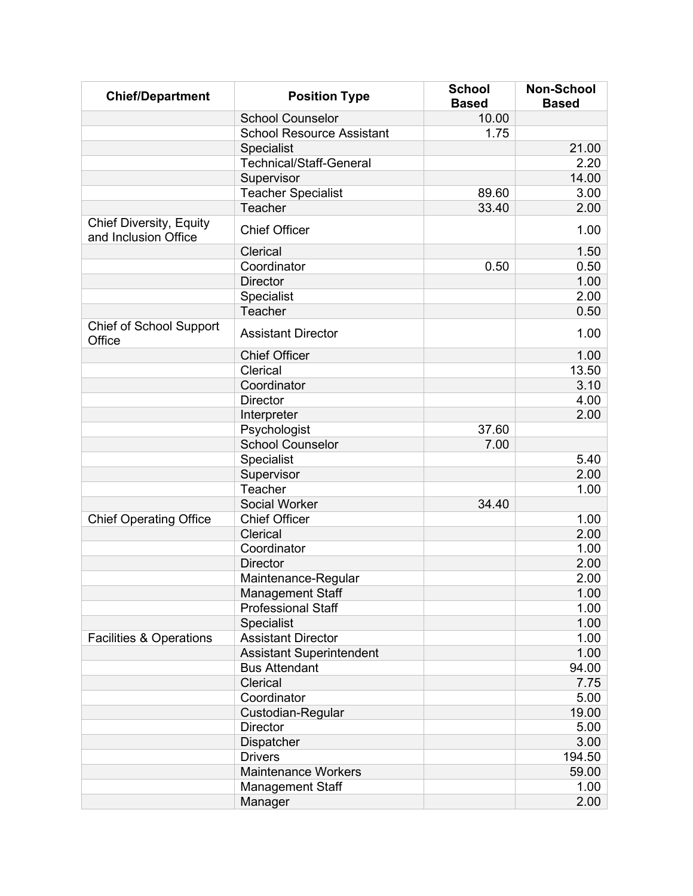| <b>Chief/Department</b>                                | <b>Position Type</b>             | <b>School</b><br><b>Based</b> | <b>Non-School</b><br><b>Based</b> |
|--------------------------------------------------------|----------------------------------|-------------------------------|-----------------------------------|
|                                                        | <b>School Counselor</b>          | 10.00                         |                                   |
|                                                        | <b>School Resource Assistant</b> | 1.75                          |                                   |
|                                                        | Specialist                       |                               | 21.00                             |
|                                                        | <b>Technical/Staff-General</b>   |                               | 2.20                              |
|                                                        | Supervisor                       |                               | 14.00                             |
|                                                        | <b>Teacher Specialist</b>        | 89.60                         | 3.00                              |
|                                                        | Teacher                          | 33.40                         | 2.00                              |
| <b>Chief Diversity, Equity</b><br>and Inclusion Office | <b>Chief Officer</b>             |                               | 1.00                              |
|                                                        | Clerical                         |                               | 1.50                              |
|                                                        | Coordinator                      | 0.50                          | 0.50                              |
|                                                        | <b>Director</b>                  |                               | 1.00                              |
|                                                        | Specialist                       |                               | 2.00                              |
|                                                        | Teacher                          |                               | 0.50                              |
| <b>Chief of School Support</b><br>Office               | <b>Assistant Director</b>        |                               | 1.00                              |
|                                                        | <b>Chief Officer</b>             |                               | 1.00                              |
|                                                        | Clerical                         |                               | 13.50                             |
|                                                        | Coordinator                      |                               | 3.10                              |
|                                                        | <b>Director</b>                  |                               | 4.00                              |
|                                                        | Interpreter                      |                               | 2.00                              |
|                                                        | Psychologist                     | 37.60                         |                                   |
|                                                        | <b>School Counselor</b>          | 7.00                          |                                   |
|                                                        | Specialist                       |                               | 5.40                              |
|                                                        | Supervisor                       |                               | 2.00                              |
|                                                        | Teacher                          |                               | 1.00                              |
|                                                        | Social Worker                    | 34.40                         |                                   |
| <b>Chief Operating Office</b>                          | <b>Chief Officer</b>             |                               | 1.00                              |
|                                                        | Clerical                         |                               | 2.00                              |
|                                                        | Coordinator                      |                               | 1.00                              |
|                                                        | <b>Director</b>                  |                               | 2.00                              |
|                                                        | Maintenance-Regular              |                               | 2.00                              |
|                                                        | <b>Management Staff</b>          |                               | 1.00                              |
|                                                        | <b>Professional Staff</b>        |                               | 1.00                              |
|                                                        | Specialist                       |                               | 1.00                              |
| <b>Facilities &amp; Operations</b>                     | <b>Assistant Director</b>        |                               | 1.00                              |
|                                                        | <b>Assistant Superintendent</b>  |                               | 1.00                              |
|                                                        | <b>Bus Attendant</b>             |                               | 94.00                             |
|                                                        | Clerical                         |                               | 7.75                              |
|                                                        | Coordinator                      |                               | 5.00                              |
|                                                        | Custodian-Regular                |                               | 19.00                             |
|                                                        | <b>Director</b>                  |                               | 5.00                              |
|                                                        | Dispatcher                       |                               | 3.00                              |
|                                                        | <b>Drivers</b>                   |                               | 194.50                            |
|                                                        | <b>Maintenance Workers</b>       |                               | 59.00                             |
|                                                        | <b>Management Staff</b>          |                               | 1.00                              |
|                                                        | Manager                          |                               | 2.00                              |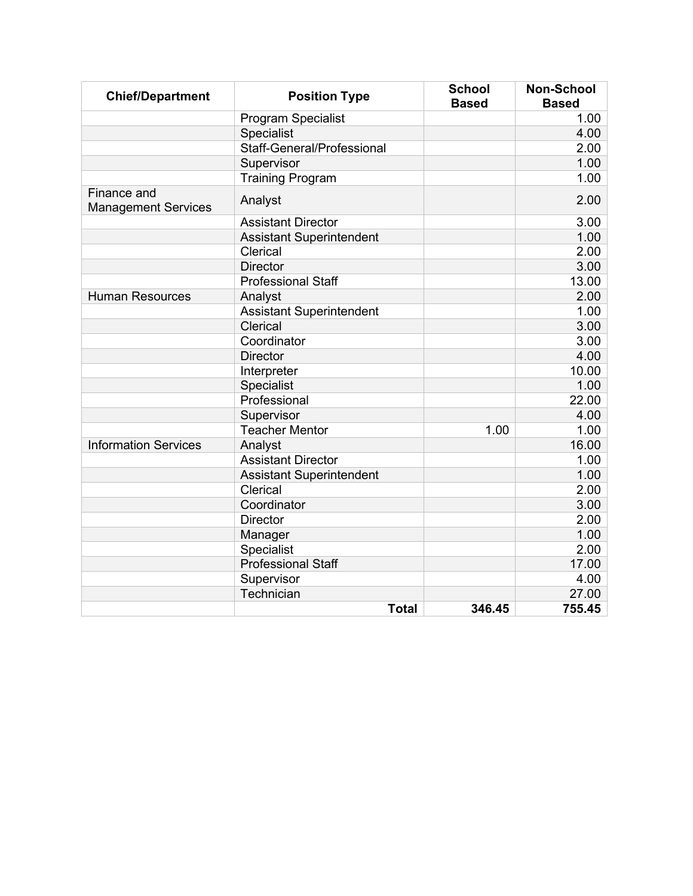| <b>Chief/Department</b>                   | <b>Position Type</b>            | <b>School</b><br><b>Based</b> | <b>Non-School</b><br><b>Based</b> |
|-------------------------------------------|---------------------------------|-------------------------------|-----------------------------------|
|                                           | <b>Program Specialist</b>       |                               | 1.00                              |
|                                           | Specialist                      |                               | 4.00                              |
|                                           | Staff-General/Professional      |                               | 2.00                              |
|                                           | Supervisor                      |                               | 1.00                              |
|                                           | <b>Training Program</b>         |                               | 1.00                              |
| Finance and<br><b>Management Services</b> | Analyst                         |                               | 2.00                              |
|                                           | <b>Assistant Director</b>       |                               | 3.00                              |
|                                           | <b>Assistant Superintendent</b> |                               | 1.00                              |
|                                           | Clerical                        |                               | 2.00                              |
|                                           | <b>Director</b>                 |                               | 3.00                              |
|                                           | <b>Professional Staff</b>       |                               | 13.00                             |
| <b>Human Resources</b>                    | Analyst                         |                               | 2.00                              |
|                                           | <b>Assistant Superintendent</b> |                               | 1.00                              |
|                                           | Clerical                        |                               | 3.00                              |
|                                           | Coordinator                     |                               | 3.00                              |
|                                           | <b>Director</b>                 |                               | 4.00                              |
|                                           | Interpreter                     |                               | 10.00                             |
|                                           | Specialist                      |                               | 1.00                              |
|                                           | Professional                    |                               | 22.00                             |
|                                           | Supervisor                      |                               | 4.00                              |
|                                           | <b>Teacher Mentor</b>           | 1.00                          | 1.00                              |
| <b>Information Services</b>               | Analyst                         |                               | 16.00                             |
|                                           | <b>Assistant Director</b>       |                               | 1.00                              |
|                                           | <b>Assistant Superintendent</b> |                               | 1.00                              |
|                                           | Clerical                        |                               | 2.00                              |
|                                           | Coordinator                     |                               | 3.00                              |
|                                           | <b>Director</b>                 |                               | 2.00                              |
|                                           | Manager                         |                               | 1.00                              |
|                                           | Specialist                      |                               | 2.00                              |
|                                           | <b>Professional Staff</b>       |                               | 17.00                             |
|                                           | Supervisor                      |                               | 4.00                              |
|                                           | Technician                      |                               | 27.00                             |
|                                           | <b>Total</b>                    | 346.45                        | 755.45                            |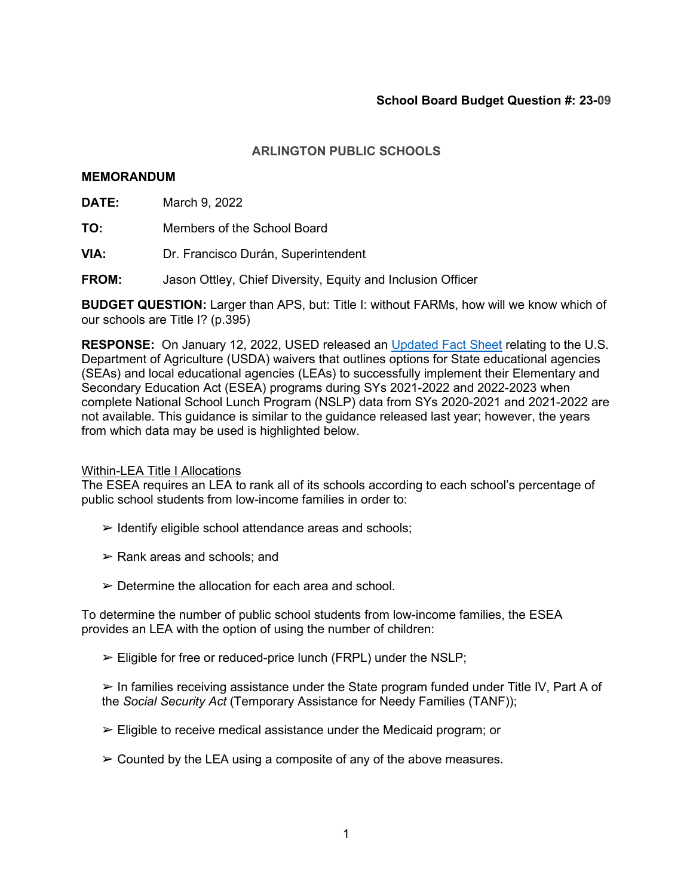## **MEMORANDUM**

**DATE:** March 9, 2022

**TO:** Members of the School Board

**VIA:** Dr. Francisco Durán, Superintendent

**FROM:** Jason Ottley, Chief Diversity, Equity and Inclusion Officer

**BUDGET QUESTION:** Larger than APS, but: Title I: without FARMs, how will we know which of our schools are Title I? (p.395)

**RESPONSE:** On January 12, 2022, USED released an [Updated Fact Sheet](https://oese.ed.gov/files/2022/01/ED-USDA-Fact-Sheet-Revised-1-12-2022.pdf) relating to the U.S. Department of Agriculture (USDA) waivers that outlines options for State educational agencies (SEAs) and local educational agencies (LEAs) to successfully implement their Elementary and Secondary Education Act (ESEA) programs during SYs 2021-2022 and 2022-2023 when complete National School Lunch Program (NSLP) data from SYs 2020-2021 and 2021-2022 are not available. This guidance is similar to the guidance released last year; however, the years from which data may be used is highlighted below.

#### **Within-LEA Title I Allocations**

The ESEA requires an LEA to rank all of its schools according to each school's percentage of public school students from low-income families in order to:

- $\triangleright$  Identify eligible school attendance areas and schools;
- $\triangleright$  Rank areas and schools; and
- $\triangleright$  Determine the allocation for each area and school.

To determine the number of public school students from low-income families, the ESEA provides an LEA with the option of using the number of children:

 $\triangleright$  Eligible for free or reduced-price lunch (FRPL) under the NSLP;

 $\triangleright$  In families receiving assistance under the State program funded under Title IV, Part A of the *Social Security Act* (Temporary Assistance for Needy Families (TANF));

 $\triangleright$  Eligible to receive medical assistance under the Medicaid program; or

 $\triangleright$  Counted by the LEA using a composite of any of the above measures.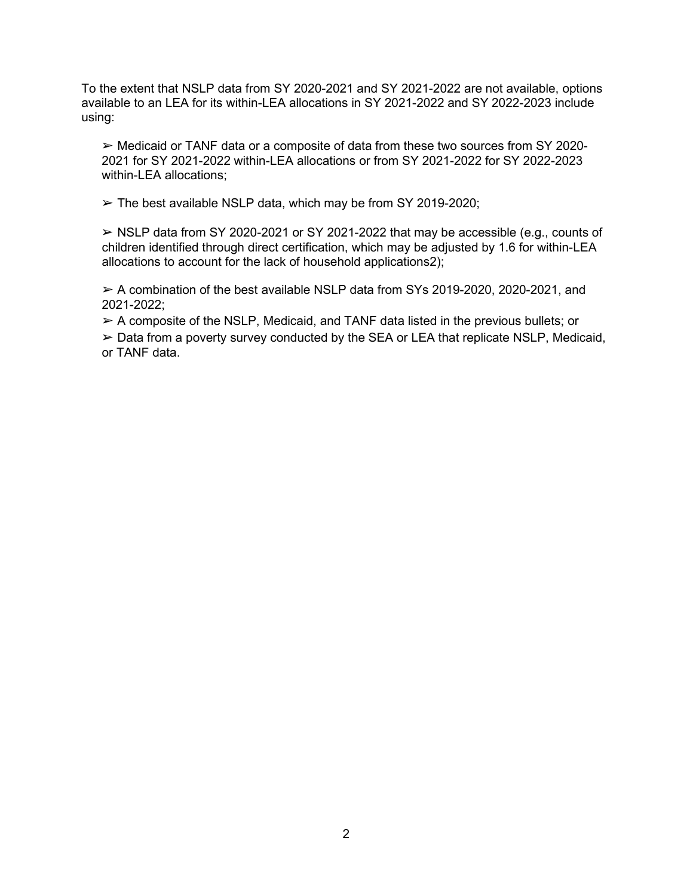To the extent that NSLP data from SY 2020-2021 and SY 2021-2022 are not available, options available to an LEA for its within-LEA allocations in SY 2021-2022 and SY 2022-2023 include using:

 $\triangleright$  Medicaid or TANF data or a composite of data from these two sources from SY 2020-2021 for SY 2021-2022 within-LEA allocations or from SY 2021-2022 for SY 2022-2023 within-LEA allocations;

 $\triangleright$  The best available NSLP data, which may be from SY 2019-2020;

 $\geq$  NSLP data from SY 2020-2021 or SY 2021-2022 that may be accessible (e.g., counts of children identified through direct certification, which may be adjusted by 1.6 for within-LEA allocations to account for the lack of household applications2);

➢ A combination of the best available NSLP data from SYs 2019-2020, 2020-2021, and 2021-2022;

 $\triangleright$  A composite of the NSLP, Medicaid, and TANF data listed in the previous bullets; or

 $\geq$  Data from a poverty survey conducted by the SEA or LEA that replicate NSLP, Medicaid, or TANF data.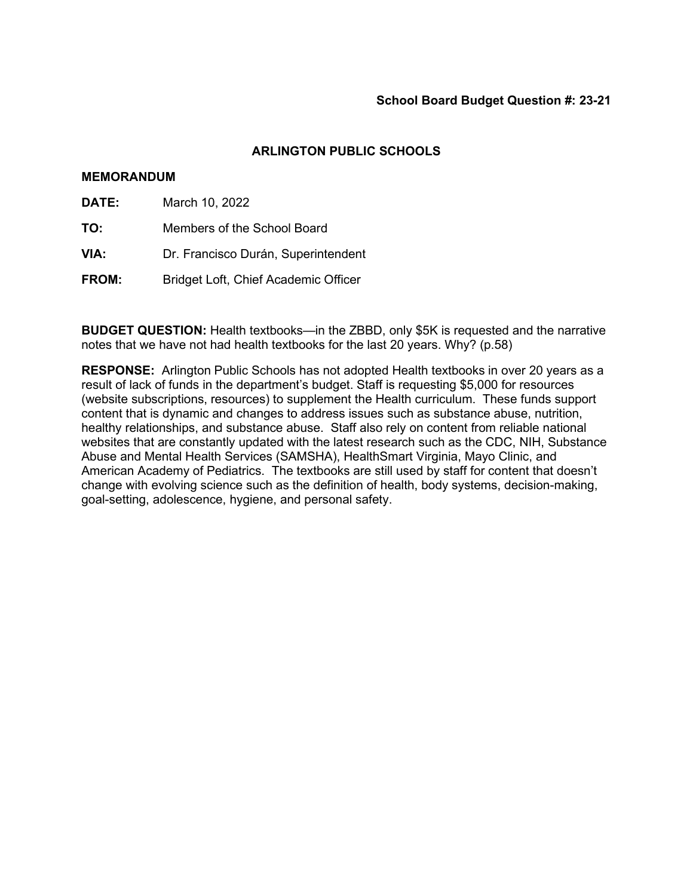## **MEMORANDUM**

- **DATE:** March 10, 2022
- **TO:** Members of the School Board
- **VIA:** Dr. Francisco Durán, Superintendent
- **FROM:** Bridget Loft, Chief Academic Officer

**BUDGET QUESTION:** Health textbooks—in the ZBBD, only \$5K is requested and the narrative notes that we have not had health textbooks for the last 20 years. Why? (p.58)

**RESPONSE:** Arlington Public Schools has not adopted Health textbooks in over 20 years as a result of lack of funds in the department's budget. Staff is requesting \$5,000 for resources (website subscriptions, resources) to supplement the Health curriculum. These funds support content that is dynamic and changes to address issues such as substance abuse, nutrition, healthy relationships, and substance abuse. Staff also rely on content from reliable national websites that are constantly updated with the latest research such as the CDC, NIH, Substance Abuse and Mental Health Services (SAMSHA), HealthSmart Virginia, Mayo Clinic, and American Academy of Pediatrics. The textbooks are still used by staff for content that doesn't change with evolving science such as the definition of health, body systems, decision-making, goal-setting, adolescence, hygiene, and personal safety.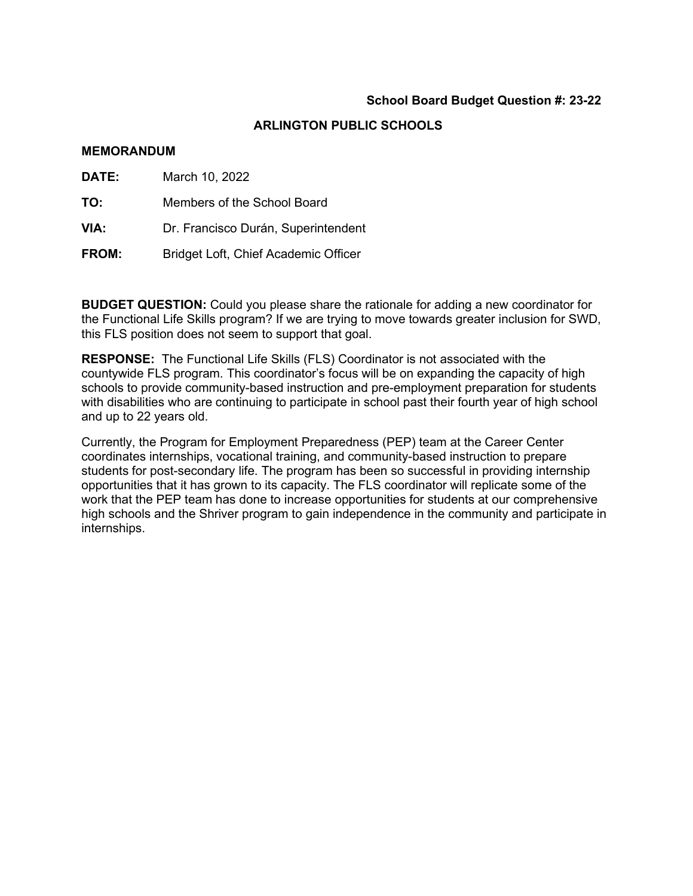# **ARLINGTON PUBLIC SCHOOLS**

### **MEMORANDUM**

| DATE:        | March 10, 2022                       |
|--------------|--------------------------------------|
| TO:          | Members of the School Board          |
| VIA:         | Dr. Francisco Durán, Superintendent  |
| <b>FROM:</b> | Bridget Loft, Chief Academic Officer |

**BUDGET QUESTION:** Could you please share the rationale for adding a new coordinator for the Functional Life Skills program? If we are trying to move towards greater inclusion for SWD, this FLS position does not seem to support that goal.

**RESPONSE:** The Functional Life Skills (FLS) Coordinator is not associated with the countywide FLS program. This coordinator's focus will be on expanding the capacity of high schools to provide community-based instruction and pre-employment preparation for students with disabilities who are continuing to participate in school past their fourth year of high school and up to 22 years old.

Currently, the Program for Employment Preparedness (PEP) team at the Career Center coordinates internships, vocational training, and community-based instruction to prepare students for post-secondary life. The program has been so successful in providing internship opportunities that it has grown to its capacity. The FLS coordinator will replicate some of the work that the PEP team has done to increase opportunities for students at our comprehensive high schools and the Shriver program to gain independence in the community and participate in internships.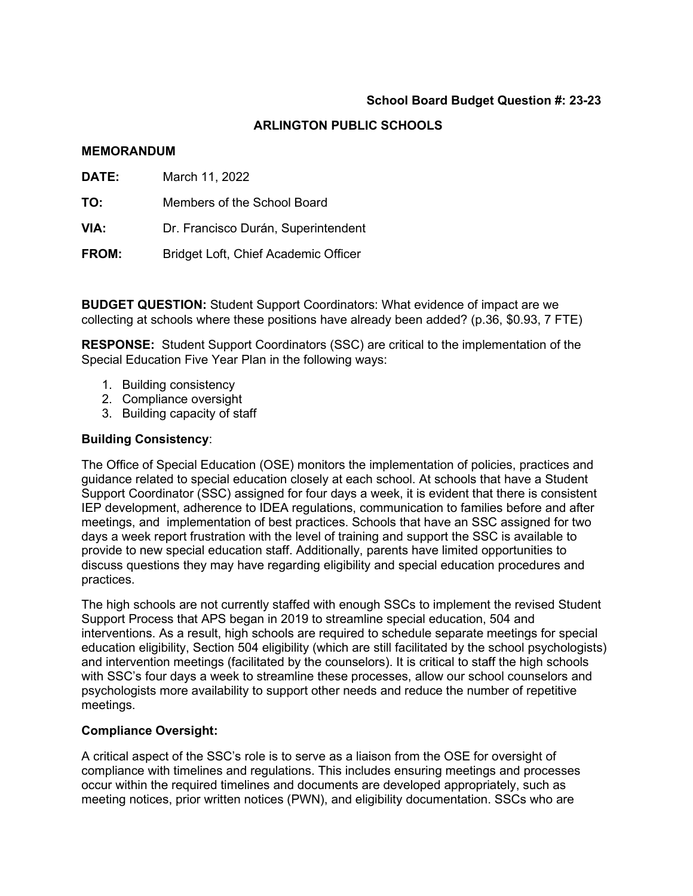# **ARLINGTON PUBLIC SCHOOLS**

## **MEMORANDUM**

| <b>DATE:</b> | March 11, 2022                       |  |  |
|--------------|--------------------------------------|--|--|
| TO:          | Members of the School Board          |  |  |
| VIA:         | Dr. Francisco Durán, Superintendent  |  |  |
| <b>FROM:</b> | Bridget Loft, Chief Academic Officer |  |  |

**BUDGET QUESTION:** Student Support Coordinators: What evidence of impact are we collecting at schools where these positions have already been added? (p.36, \$0.93, 7 FTE)

**RESPONSE:** Student Support Coordinators (SSC) are critical to the implementation of the Special Education Five Year Plan in the following ways:

- 1. Building consistency
- 2. Compliance oversight
- 3. Building capacity of staff

## **Building Consistency**:

The Office of Special Education (OSE) monitors the implementation of policies, practices and guidance related to special education closely at each school. At schools that have a Student Support Coordinator (SSC) assigned for four days a week, it is evident that there is consistent IEP development, adherence to IDEA regulations, communication to families before and after meetings, and implementation of best practices. Schools that have an SSC assigned for two days a week report frustration with the level of training and support the SSC is available to provide to new special education staff. Additionally, parents have limited opportunities to discuss questions they may have regarding eligibility and special education procedures and practices.

The high schools are not currently staffed with enough SSCs to implement the revised Student Support Process that APS began in 2019 to streamline special education, 504 and interventions. As a result, high schools are required to schedule separate meetings for special education eligibility, Section 504 eligibility (which are still facilitated by the school psychologists) and intervention meetings (facilitated by the counselors). It is critical to staff the high schools with SSC's four days a week to streamline these processes, allow our school counselors and psychologists more availability to support other needs and reduce the number of repetitive meetings.

## **Compliance Oversight:**

A critical aspect of the SSC's role is to serve as a liaison from the OSE for oversight of compliance with timelines and regulations. This includes ensuring meetings and processes occur within the required timelines and documents are developed appropriately, such as meeting notices, prior written notices (PWN), and eligibility documentation. SSCs who are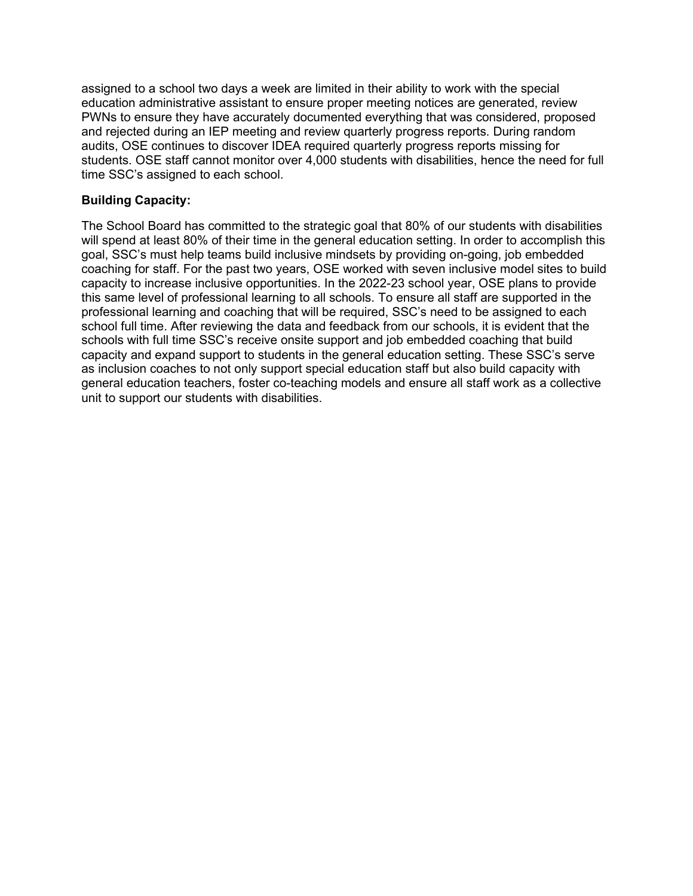assigned to a school two days a week are limited in their ability to work with the special education administrative assistant to ensure proper meeting notices are generated, review PWNs to ensure they have accurately documented everything that was considered, proposed and rejected during an IEP meeting and review quarterly progress reports. During random audits, OSE continues to discover IDEA required quarterly progress reports missing for students. OSE staff cannot monitor over 4,000 students with disabilities, hence the need for full time SSC's assigned to each school.

# **Building Capacity:**

The School Board has committed to the strategic goal that 80% of our students with disabilities will spend at least 80% of their time in the general education setting. In order to accomplish this goal, SSC's must help teams build inclusive mindsets by providing on-going, job embedded coaching for staff. For the past two years, OSE worked with seven inclusive model sites to build capacity to increase inclusive opportunities. In the 2022-23 school year, OSE plans to provide this same level of professional learning to all schools. To ensure all staff are supported in the professional learning and coaching that will be required, SSC's need to be assigned to each school full time. After reviewing the data and feedback from our schools, it is evident that the schools with full time SSC's receive onsite support and job embedded coaching that build capacity and expand support to students in the general education setting. These SSC's serve as inclusion coaches to not only support special education staff but also build capacity with general education teachers, foster co-teaching models and ensure all staff work as a collective unit to support our students with disabilities.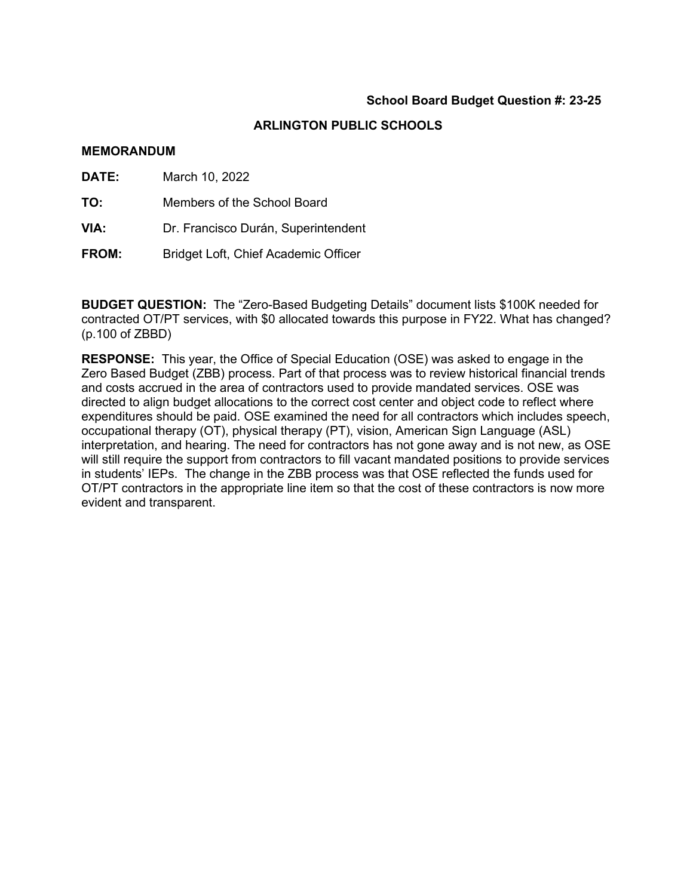# **ARLINGTON PUBLIC SCHOOLS**

### **MEMORANDUM**

| <b>DATE:</b> | March 10, 2022                       |  |  |
|--------------|--------------------------------------|--|--|
| TO:          | Members of the School Board          |  |  |
| VIA:         | Dr. Francisco Durán, Superintendent  |  |  |
| <b>FROM:</b> | Bridget Loft, Chief Academic Officer |  |  |

**BUDGET QUESTION:** The "Zero-Based Budgeting Details" document lists \$100K needed for contracted OT/PT services, with \$0 allocated towards this purpose in FY22. What has changed? (p.100 of ZBBD)

**RESPONSE:** This year, the Office of Special Education (OSE) was asked to engage in the Zero Based Budget (ZBB) process. Part of that process was to review historical financial trends and costs accrued in the area of contractors used to provide mandated services. OSE was directed to align budget allocations to the correct cost center and object code to reflect where expenditures should be paid. OSE examined the need for all contractors which includes speech, occupational therapy (OT), physical therapy (PT), vision, American Sign Language (ASL) interpretation, and hearing. The need for contractors has not gone away and is not new, as OSE will still require the support from contractors to fill vacant mandated positions to provide services in students' IEPs. The change in the ZBB process was that OSE reflected the funds used for OT/PT contractors in the appropriate line item so that the cost of these contractors is now more evident and transparent.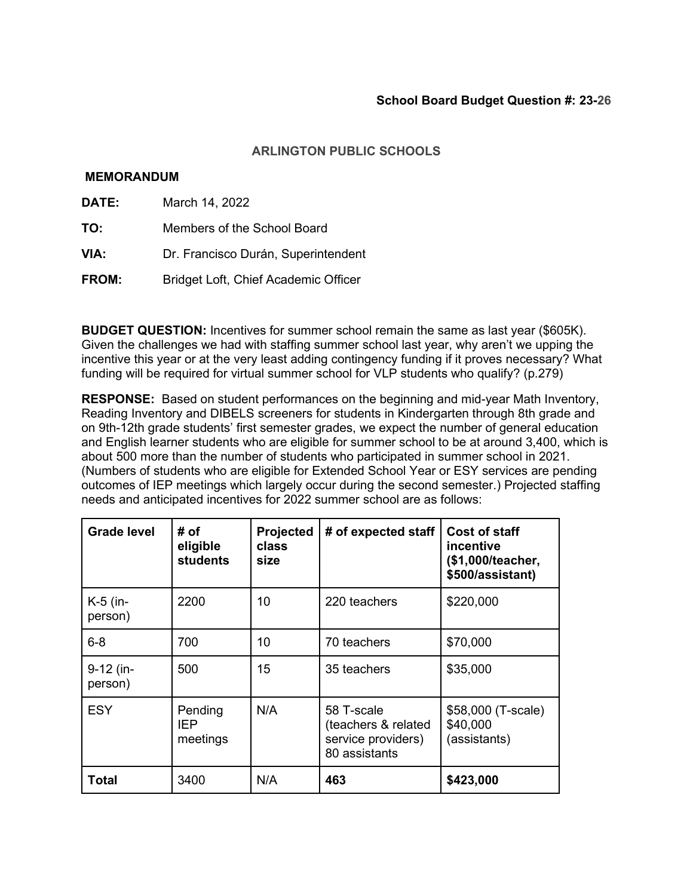## **MEMORANDUM**

- **DATE:** March 14, 2022
- **TO:** Members of the School Board
- **VIA:** Dr. Francisco Durán, Superintendent
- **FROM:** Bridget Loft, Chief Academic Officer

**BUDGET QUESTION:** Incentives for summer school remain the same as last year (\$605K). Given the challenges we had with staffing summer school last year, why aren't we upping the incentive this year or at the very least adding contingency funding if it proves necessary? What funding will be required for virtual summer school for VLP students who qualify? (p.279)

**RESPONSE:** Based on student performances on the beginning and mid-year Math Inventory, Reading Inventory and DIBELS screeners for students in Kindergarten through 8th grade and on 9th-12th grade students' first semester grades, we expect the number of general education and English learner students who are eligible for summer school to be at around 3,400, which is about 500 more than the number of students who participated in summer school in 2021. (Numbers of students who are eligible for Extended School Year or ESY services are pending outcomes of IEP meetings which largely occur during the second semester.) Projected staffing needs and anticipated incentives for 2022 summer school are as follows:

| <b>Grade level</b>     | # of<br>eligible<br><b>students</b> | Projected<br>class<br>size | # of expected staff                                                      | <b>Cost of staff</b><br>incentive<br>(\$1,000/teacher,<br>\$500/assistant) |
|------------------------|-------------------------------------|----------------------------|--------------------------------------------------------------------------|----------------------------------------------------------------------------|
| $K-5$ (in-<br>person)  | 2200                                | 10                         | 220 teachers                                                             | \$220,000                                                                  |
| $6 - 8$                | 700                                 | 10                         | 70 teachers                                                              | \$70,000                                                                   |
| $9-12$ (in-<br>person) | 500                                 | 15                         | 35 teachers                                                              | \$35,000                                                                   |
| <b>ESY</b>             | Pending<br>IEP<br>meetings          | N/A                        | 58 T-scale<br>(teachers & related<br>service providers)<br>80 assistants | \$58,000 (T-scale)<br>\$40,000<br>(assistants)                             |
| Total                  | 3400                                | N/A                        | 463                                                                      | \$423,000                                                                  |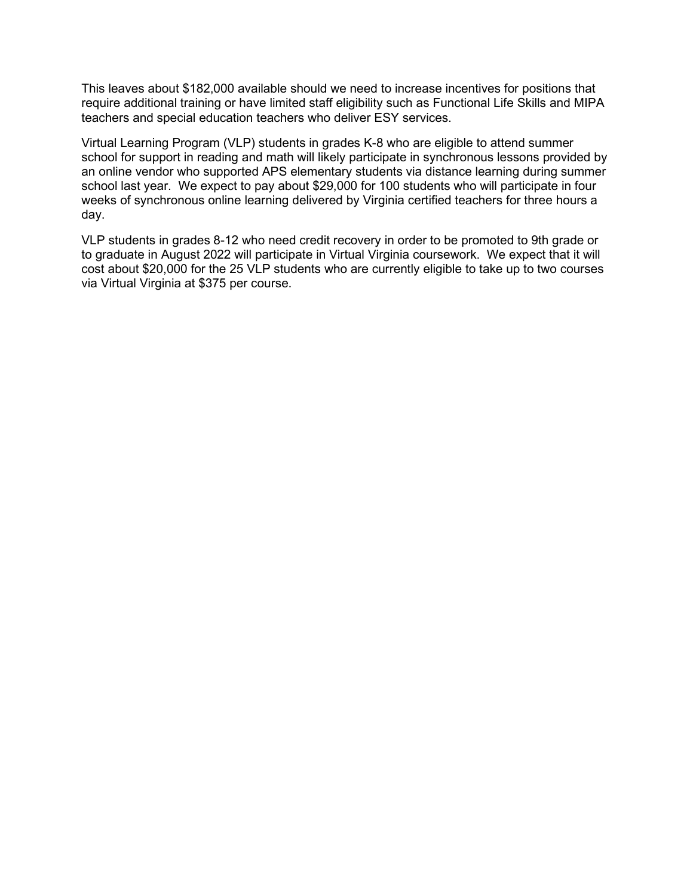This leaves about \$182,000 available should we need to increase incentives for positions that require additional training or have limited staff eligibility such as Functional Life Skills and MIPA teachers and special education teachers who deliver ESY services.

Virtual Learning Program (VLP) students in grades K-8 who are eligible to attend summer school for support in reading and math will likely participate in synchronous lessons provided by an online vendor who supported APS elementary students via distance learning during summer school last year. We expect to pay about \$29,000 for 100 students who will participate in four weeks of synchronous online learning delivered by Virginia certified teachers for three hours a day.

VLP students in grades 8-12 who need credit recovery in order to be promoted to 9th grade or to graduate in August 2022 will participate in Virtual Virginia coursework. We expect that it will cost about \$20,000 for the 25 VLP students who are currently eligible to take up to two courses via Virtual Virginia at \$375 per course.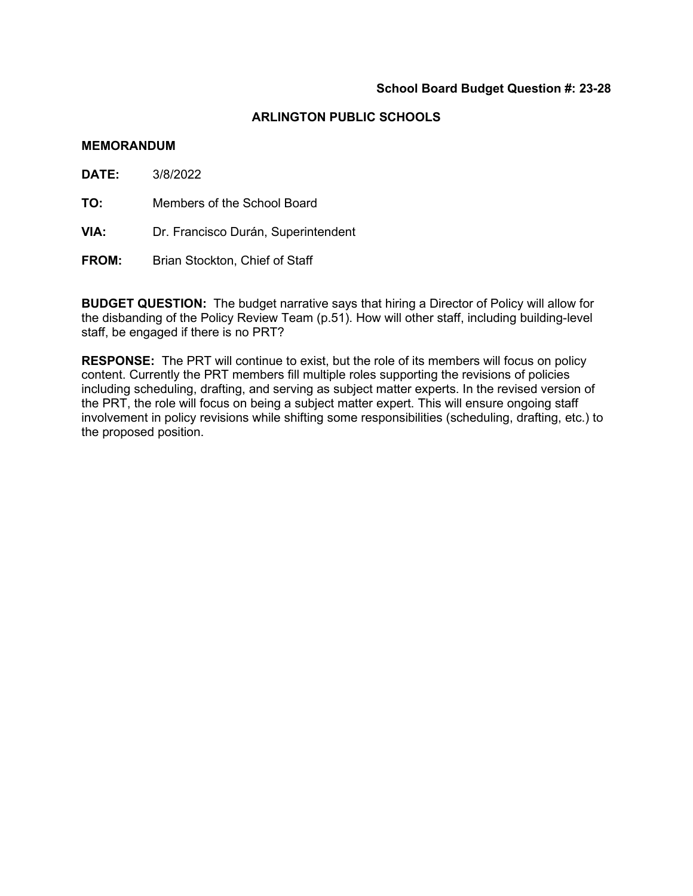#### **MEMORANDUM**

**DATE:** 3/8/2022

**TO:** Members of the School Board

- **VIA:** Dr. Francisco Durán, Superintendent
- **FROM:** Brian Stockton, Chief of Staff

**BUDGET QUESTION:** The budget narrative says that hiring a Director of Policy will allow for the disbanding of the Policy Review Team (p.51). How will other staff, including building-level staff, be engaged if there is no PRT?

**RESPONSE:** The PRT will continue to exist, but the role of its members will focus on policy content. Currently the PRT members fill multiple roles supporting the revisions of policies including scheduling, drafting, and serving as subject matter experts. In the revised version of the PRT, the role will focus on being a subject matter expert. This will ensure ongoing staff involvement in policy revisions while shifting some responsibilities (scheduling, drafting, etc.) to the proposed position.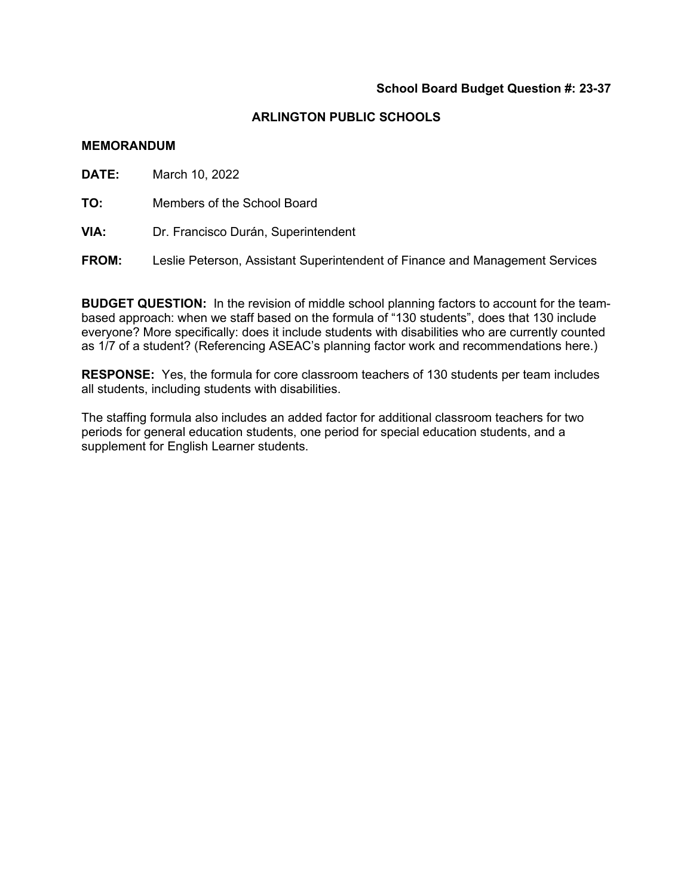### **ARLINGTON PUBLIC SCHOOLS**

#### **MEMORANDUM**

**DATE:** March 10, 2022

**TO:** Members of the School Board

**VIA:** Dr. Francisco Durán, Superintendent

**FROM:** Leslie Peterson, Assistant Superintendent of Finance and Management Services

**BUDGET QUESTION:** In the revision of middle school planning factors to account for the teambased approach: when we staff based on the formula of "130 students", does that 130 include everyone? More specifically: does it include students with disabilities who are currently counted as 1/7 of a student? (Referencing ASEAC's planning factor work and recommendations here.)

**RESPONSE:** Yes, the formula for core classroom teachers of 130 students per team includes all students, including students with disabilities.

The staffing formula also includes an added factor for additional classroom teachers for two periods for general education students, one period for special education students, and a supplement for English Learner students.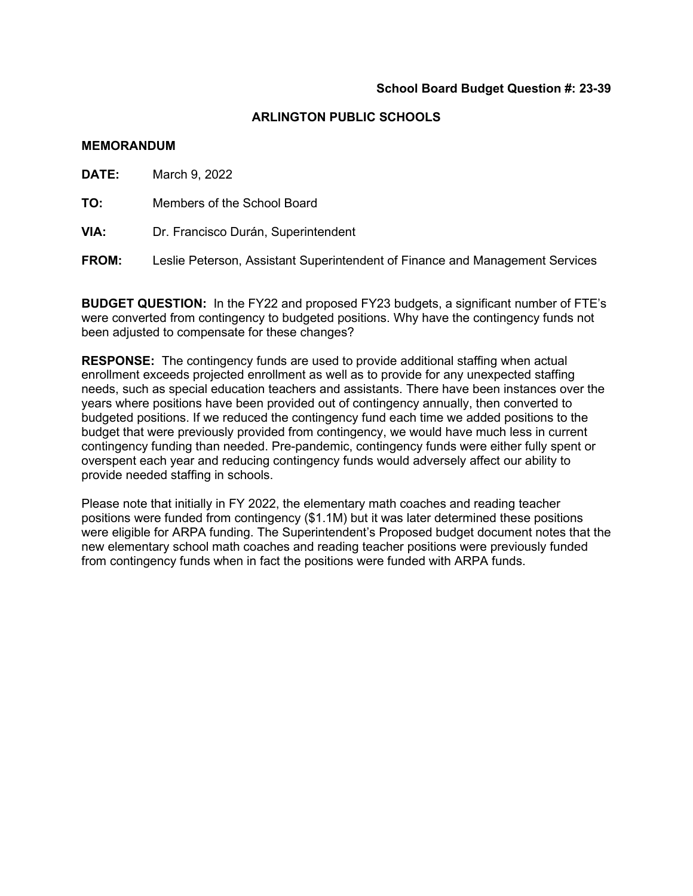#### **MEMORANDUM**

**DATE:** March 9, 2022

**TO:** Members of the School Board

**VIA:** Dr. Francisco Durán, Superintendent

**FROM:** Leslie Peterson, Assistant Superintendent of Finance and Management Services

**BUDGET QUESTION:** In the FY22 and proposed FY23 budgets, a significant number of FTE's were converted from contingency to budgeted positions. Why have the contingency funds not been adjusted to compensate for these changes?

**RESPONSE:** The contingency funds are used to provide additional staffing when actual enrollment exceeds projected enrollment as well as to provide for any unexpected staffing needs, such as special education teachers and assistants. There have been instances over the years where positions have been provided out of contingency annually, then converted to budgeted positions. If we reduced the contingency fund each time we added positions to the budget that were previously provided from contingency, we would have much less in current contingency funding than needed. Pre-pandemic, contingency funds were either fully spent or overspent each year and reducing contingency funds would adversely affect our ability to provide needed staffing in schools.

Please note that initially in FY 2022, the elementary math coaches and reading teacher positions were funded from contingency (\$1.1M) but it was later determined these positions were eligible for ARPA funding. The Superintendent's Proposed budget document notes that the new elementary school math coaches and reading teacher positions were previously funded from contingency funds when in fact the positions were funded with ARPA funds.